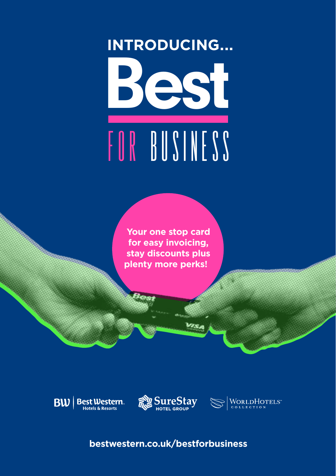### Best for Business **INTRODUCING...**

**Your one stop card for easy invoicing, stay discounts plus plenty more perks!** 





WORLDHOTELS

**bestwestern.co.uk/bestforbusiness**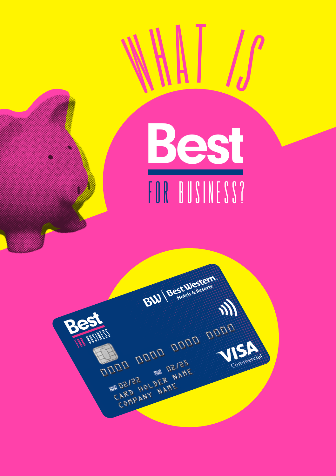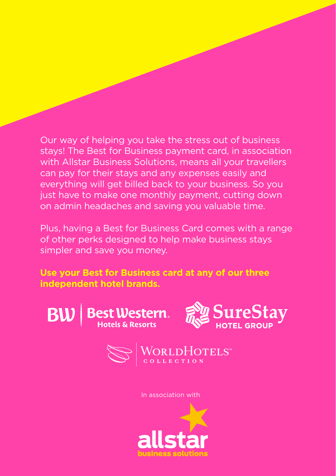Our way of helping you take the stress out of business stays! The Best for Business payment card, in association with Allstar Business Solutions, means all your travellers can pay for their stays and any expenses easily and everything will get billed back to your business. So you just have to make one monthly payment, cutting down on admin headaches and saving you valuable time.

Plus, having a Best for Business Card comes with a range of other perks designed to help make business stays simpler and save you money.

**Use your Best for Business card at any of our three independent hotel brands.**





In association with

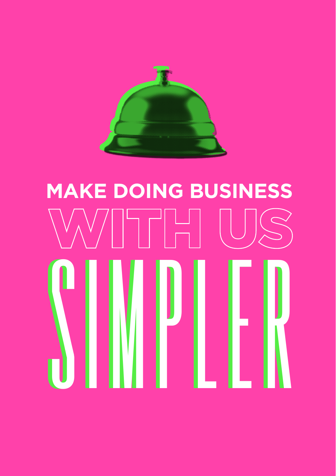

# simpler simpler **MAKE DOING BUSINESS**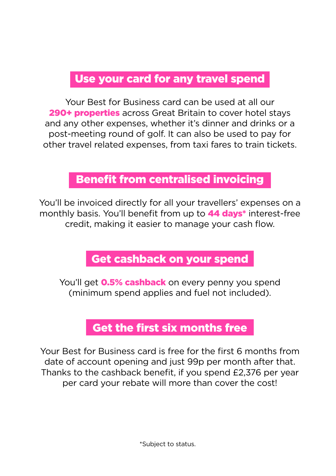### Use your card for any travel spend

Your Best for Business card can be used at all our 290+ properties across Great Britain to cover hotel stavs and any other expenses, whether it's dinner and drinks or a post-meeting round of golf. It can also be used to pay for other travel related expenses, from taxi fares to train tickets.

#### Benefit from centralised invoicing

You'll be invoiced directly for all your travellers' expenses on a monthly basis. You'll benefit from up to **44 days**\* interest-free credit, making it easier to manage your cash flow.

### Get cashback on your spend

You'll get **0.5% cashback** on every penny you spend (minimum spend applies and fuel not included).

### Get the first six months free

Your Best for Business card is free for the first 6 months from date of account opening and just 99p per month after that. Thanks to the cashback benefit, if you spend £2,376 per year per card your rebate will more than cover the cost!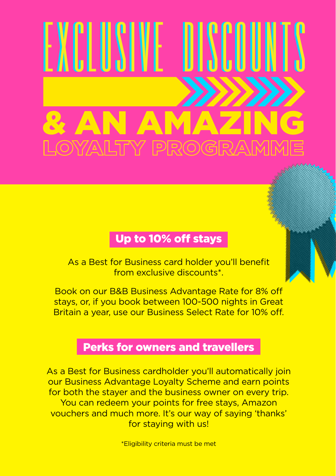## & AN AMAZING exclusive discounts

### Up to 10% off stays

As a Best for Business card holder you'll benefit from exclusive discounts\*.

Book on our B&B Business Advantage Rate for 8% o stays, or, if you book between 100-500 nights in Great Britain a year, use our Business Select Rate for 10% off.

#### Perks for owners and travellers

As a Best for Business cardholder you'll automatically join our Business Advantage Loyalty Scheme and earn points for both the stayer and the business owner on every trip. You can redeem your points for free stays, Amazon vouchers and much more. It's our way of saying 'thanks' for staying with us!

\*Eligibility criteria must be met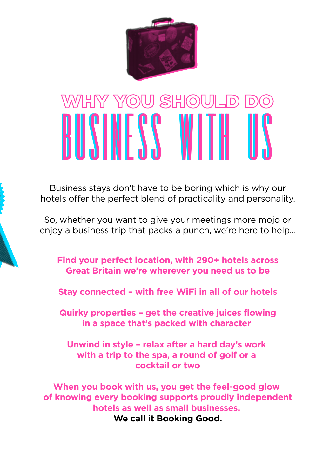

### BUSINESS WITH US

Business stays don't have to be boring which is why our hotels offer the perfect blend of practicality and personality.

So, whether you want to give your meetings more mojo or enjoy a business trip that packs a punch, we're here to help…

**Find your perfect location, with 290+ hotels across Great Britain we're wherever you need us to be**

**Stay connected – with free WiFi in all of our hotels**

**Quirky properties – get the creative juices flowing in a space that's packed with character** 

**Unwind in style – relax after a hard day's work with a trip to the spa, a round of golf or a cocktail or two**

**When you book with us, you get the feel-good glow of knowing every booking supports proudly independent hotels as well as small businesses. We call it Booking Good.**